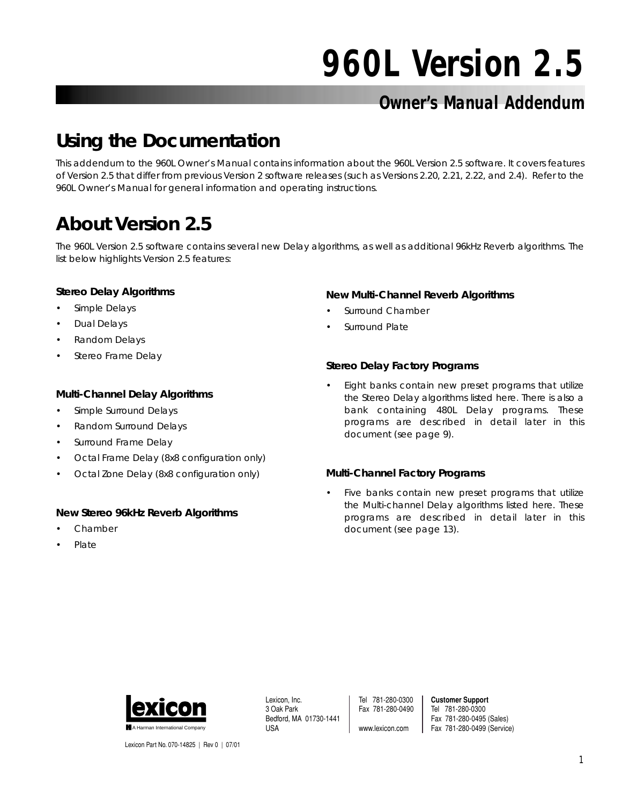# *960L Version 2.5*

# *Owner's Manual Addendum*

# **Using the Documentation**

This addendum to the 960L Owner's Manual contains information about the 960L Version 2.5 software. It covers features of Version 2.5 that differ from previous Version 2 software releases (such as Versions 2.20, 2.21, 2.22, and 2.4). Refer to the 960L Owner's Manual for general information and operating instructions.

# **About Version 2.5**

The 960L Version 2.5 software contains several new Delay algorithms, as well as additional 96kHz Reverb algorithms. The list below highlights Version 2.5 features:

### *Stereo Delay Algorithms*

- Simple Delays
- Dual Delays
- Random Delays
- Stereo Frame Delay

### *Multi-Channel Delay Algorithms*

- Simple Surround Delays
- Random Surround Delays
- Surround Frame Delay
- Octal Frame Delay (8x8 configuration only)
- Octal Zone Delay (8x8 configuration only)

### *New Stereo 96kHz Reverb Algorithms*

- Chamber
- Plate

### *New Multi-Channel Reverb Algorithms*

- Surround Chamber
- Surround Plate

### *Stereo Delay Factory Programs*

• Eight banks contain new preset programs that utilize the Stereo Delay algorithms listed here. There is also a bank containing 480L Delay programs. These programs are described in detail later in this document (see page 9).

### *Multi-Channel Factory Programs*

Five banks contain new preset programs that utilize the Multi-channel Delay algorithms listed here. These programs are described in detail later in this document (see page 13).



Lexicon, Inc. 3 Oak Park Bedford, MA 01730-1441 USA

Tel 781-280-0300 Fax 781-280-0490 www.lexicon.com

**Customer Support** Tel 781-280-0300 Fax 781-280-0495 (Sales) Fax 781-280-0499 (Service)

Lexicon Part No. 070-14825 | Rev 0 | 07/01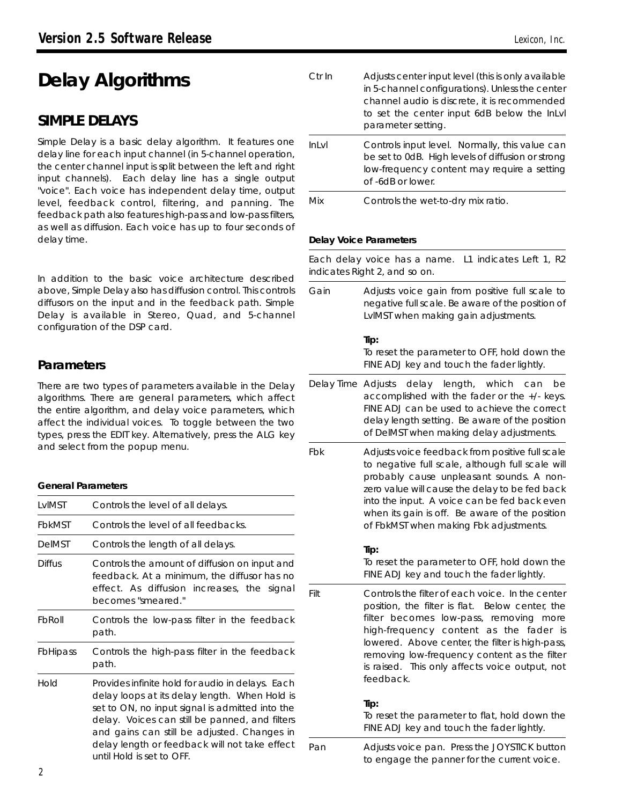# **Delay Algorithms**

# **SIMPLE DELAYS**

Simple Delay is a basic delay algorithm. It features one delay line for each input channel (in 5-channel operation, the center channel input is split between the left and right input channels). Each delay line has a single output "voice". Each voice has independent delay time, output level, feedback control, filtering, and panning. The feedback path also features high-pass and low-pass filters, as well as diffusion. Each voice has up to four seconds of delay time.

In addition to the basic voice architecture described above, Simple Delay also has diffusion control. This controls diffusors on the input and in the feedback path. Simple Delay is available in Stereo, Quad, and 5-channel configuration of the DSP card.

### *Parameters*

There are two types of parameters available in the Delay algorithms. There are general parameters, which affect the entire algorithm, and delay voice parameters, which affect the individual voices. To toggle between the two types, press the EDIT key. Alternatively, press the ALG key and select from the popup menu.

### **General Parameters**

| LvIMST          | Controls the level of all delays.                                                                                                                                                                                                                                                                                                   |
|-----------------|-------------------------------------------------------------------------------------------------------------------------------------------------------------------------------------------------------------------------------------------------------------------------------------------------------------------------------------|
| <b>FbkMST</b>   | Controls the level of all feedbacks.                                                                                                                                                                                                                                                                                                |
| <b>DelMST</b>   | Controls the length of all delays.                                                                                                                                                                                                                                                                                                  |
| Diffus          | Controls the amount of diffusion on input and<br>feedback. At a minimum, the diffusor has no<br>effect. As diffusion increases, the signal<br>becomes "smeared."                                                                                                                                                                    |
| FbRoll          | Controls the low-pass filter in the feedback<br>path.                                                                                                                                                                                                                                                                               |
| <b>FbHipass</b> | Controls the high-pass filter in the feedback<br>path.                                                                                                                                                                                                                                                                              |
| Hold            | Provides infinite hold for audio in delays. Each<br>delay loops at its delay length. When Hold is<br>set to ON, no input signal is admitted into the<br>delay. Voices can still be panned, and filters<br>and gains can still be adjusted. Changes in<br>delay length or feedback will not take effect<br>until Hold is set to OFF. |

|                    | Lexicon, Inc.                                                                                                                                                                                                                 |  |  |  |  |  |
|--------------------|-------------------------------------------------------------------------------------------------------------------------------------------------------------------------------------------------------------------------------|--|--|--|--|--|
| Ctr In             | Adjusts center input level (this is only available<br>in 5-channel configurations). Unless the center<br>channel audio is discrete, it is recommended<br>to set the center input 6dB below the InLvl<br>parameter setting.    |  |  |  |  |  |
| InLvl              | Controls input level. Normally, this value can<br>be set to 0dB. High levels of diffusion or strong<br>low-frequency content may require a setting<br>of -6dB or lower.                                                       |  |  |  |  |  |
| Mix                | Controls the wet-to-dry mix ratio.                                                                                                                                                                                            |  |  |  |  |  |
|                    | Delay Voice Parameters                                                                                                                                                                                                        |  |  |  |  |  |
|                    | L1 indicates Left 1, R2<br>Each delay voice has a name.<br>indicates Right 2, and so on.                                                                                                                                      |  |  |  |  |  |
| Gain               | Adjusts voice gain from positive full scale to<br>negative full scale. Be aware of the position of<br>LvIMST when making gain adjustments.                                                                                    |  |  |  |  |  |
|                    | Tip:<br>To reset the parameter to OFF, hold down the<br>FINE ADJ key and touch the fader lightly.                                                                                                                             |  |  |  |  |  |
| Delay Time Adjusts | delay length, which<br>be<br>can<br>accomplished with the fader or the +/- keys.<br>FINE ADJ can be used to achieve the correct<br>delay length setting. Be aware of the position<br>of DelMST when making delay adjustments. |  |  |  |  |  |
| Fbk                | Adjusts voice feedback from positive full scale                                                                                                                                                                               |  |  |  |  |  |

Fbk Adjusts voice feedback from positive full scale to negative full scale, although full scale will probably cause unpleasant sounds. A nonzero value will cause the delay to be fed back into the input. A voice can be fed back even when its gain is off. Be aware of the position of FbkMST when making Fbk adjustments.

*Tip:*

*To reset the parameter to OFF, hold down the FINE ADJ key and touch the fader lightly.*

Filt Controls the filter of each voice. In the center position, the filter is flat. Below center, the filter becomes low-pass, removing more high-frequency content as the fader is lowered. Above center, the filter is high-pass, removing low-frequency content as the filter is raised. This only affects voice output, not feedback.

*Tip:*

*To reset the parameter to flat, hold down the FINE ADJ key and touch the fader lightly.*

Pan Adjusts voice pan. Press the JOYSTICK button to engage the panner for the current voice.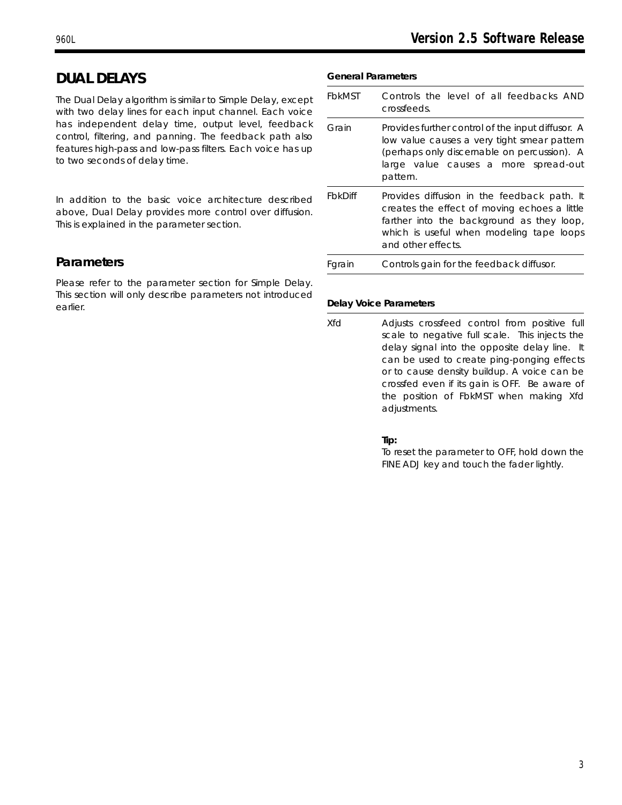# **DUAL DELAYS**

The Dual Delay algorithm is similar to Simple Delay, except with two delay lines for each input channel. Each voice has independent delay time, output level, feedback control, filtering, and panning. The feedback path also features high-pass and low-pass filters. Each voice has up to two seconds of delay time.

In addition to the basic voice architecture described above, Dual Delay provides more control over diffusion. This is explained in the parameter section.

# *Parameters*

Please refer to the parameter section for Simple Delay. This section will only describe parameters not introduced earlier.

| <b>General Parameters</b> |
|---------------------------|
|                           |

| FbkMST  | Controls the level of all feedbacks AND<br>crossfeeds.                                                                                                                                                     |
|---------|------------------------------------------------------------------------------------------------------------------------------------------------------------------------------------------------------------|
| Grain   | Provides further control of the input diffusor. A<br>low value causes a very tight smear pattern<br>(perhaps only discernable on percussion). A<br>large value causes a more spread-out<br>pattern.        |
| FbkDiff | Provides diffusion in the feedback path. It<br>creates the effect of moving echoes a little<br>farther into the background as they loop,<br>which is useful when modeling tape loops<br>and other effects. |
| Farain  | Controls gain for the feedback diffusor.                                                                                                                                                                   |

### **Delay Voice Parameters**

Xfd Adjusts crossfeed control from positive full scale to negative full scale. This injects the delay signal into the opposite delay line. It can be used to create ping-ponging effects or to cause density buildup. A voice can be crossfed even if its gain is OFF. Be aware of the position of FbkMST when making Xfd adjustments.

### *Tip:*

*To reset the parameter to OFF, hold down the FINE ADJ key and touch the fader lightly.*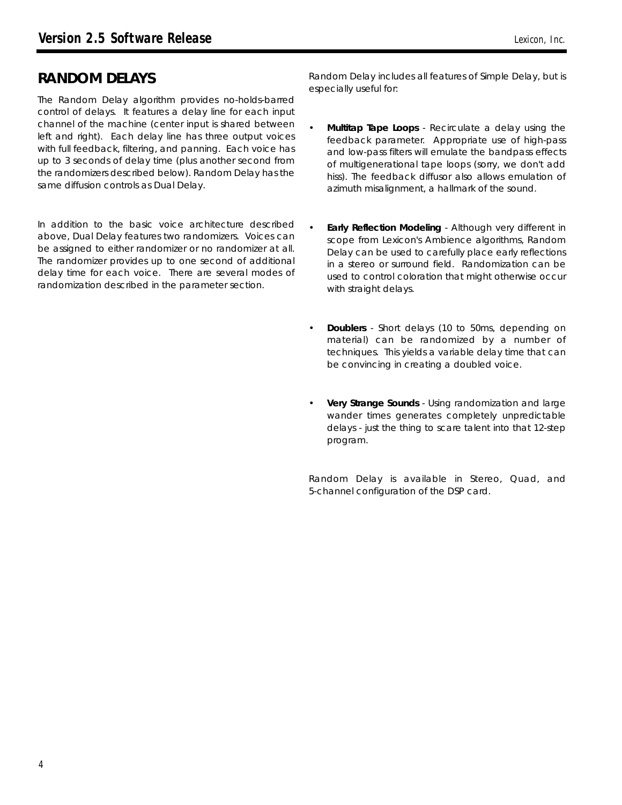# **RANDOM DELAYS**

The Random Delay algorithm provides no-holds-barred control of delays. It features a delay line for each input channel of the machine (center input is shared between left and right). Each delay line has three output voices with full feedback, filtering, and panning. Each voice has up to 3 seconds of delay time (plus another second from the randomizers described below). Random Delay has the same diffusion controls as Dual Delay.

In addition to the basic voice architecture described above, Dual Delay features two randomizers. Voices can be assigned to either randomizer or no randomizer at all. The randomizer provides up to one second of additional delay time for each voice. There are several modes of randomization described in the parameter section.

Random Delay includes all features of Simple Delay, but is especially useful for:

- **Multitap Tape Loops** Recirculate a delay using the feedback parameter. Appropriate use of high-pass and low-pass filters will emulate the bandpass effects of multigenerational tape loops (sorry, we don't add hiss). The feedback diffusor also allows emulation of azimuth misalignment, a hallmark of the sound.
- **Early Reflection Modeling** Although very different in scope from Lexicon's Ambience algorithms, Random Delay can be used to carefully place early reflections in a stereo or surround field. Randomization can be used to control coloration that might otherwise occur with straight delays.
- **Doublers**  Short delays (10 to 50ms, depending on material) can be randomized by a number of techniques. This yields a variable delay time that can be convincing in creating a doubled voice.
- **Very Strange Sounds** Using randomization and large wander times generates completely unpredictable delays - just the thing to scare talent into that 12-step program.

Random Delay is available in Stereo, Quad, and 5-channel configuration of the DSP card.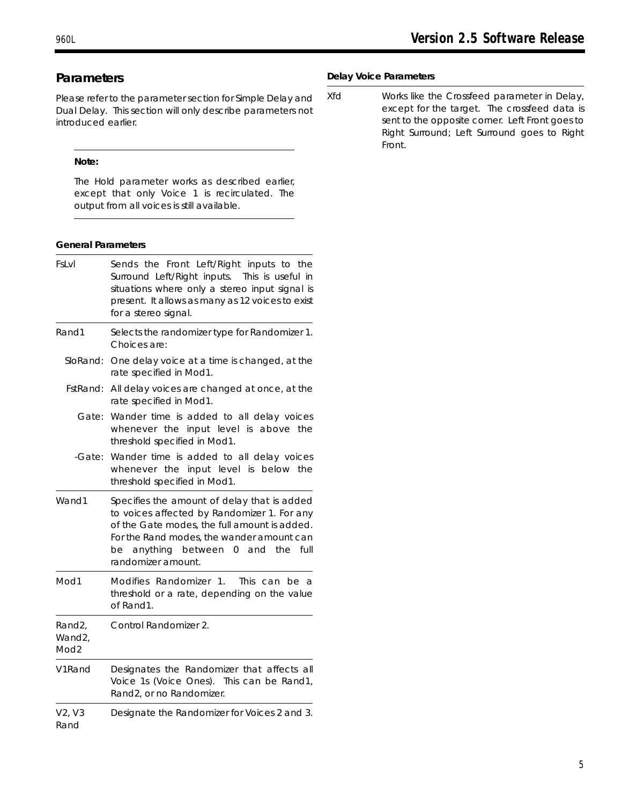# *Parameters*

Please refer to the parameter section for Simple Delay and Dual Delay. This section will only describe parameters not introduced earlier.

### *Note:*

*The Hold parameter works as described earlier, except that only Voice 1 is recirculated. The output from all voices is still available.*

### **General Parameters**

| FsLvl                                | Sends the Front Left/Right inputs to the<br>Surround Left/Right inputs. This is useful in<br>situations where only a stereo input signal is<br>present. It allows as many as 12 voices to exist<br>for a stereo signal.                                               |
|--------------------------------------|-----------------------------------------------------------------------------------------------------------------------------------------------------------------------------------------------------------------------------------------------------------------------|
| Rand1                                | Selects the randomizer type for Randomizer 1.<br>Choices are:                                                                                                                                                                                                         |
| SloRand:                             | One delay voice at a time is changed, at the<br>rate specified in Mod1.                                                                                                                                                                                               |
| FstRand:                             | All delay voices are changed at once, at the<br>rate specified in Mod1.                                                                                                                                                                                               |
| Gate:                                | Wander time is added to all delay voices<br>whenever the input level is above the<br>threshold specified in Mod1.                                                                                                                                                     |
| -Gate:                               | Wander time is added to all delay voices<br>whenever the input level is below the<br>threshold specified in Mod1.                                                                                                                                                     |
| Wand1                                | Specifies the amount of delay that is added<br>to voices affected by Randomizer 1. For any<br>of the Gate modes, the full amount is added.<br>For the Rand modes, the wander amount can<br>the<br>full<br>anything<br>between<br>0<br>and<br>be<br>randomizer amount. |
| Mod1                                 | Modifies Randomizer 1.<br>This can be<br>a<br>threshold or a rate, depending on the value<br>of Rand1.                                                                                                                                                                |
| Rand2,<br>Wand2,<br>Mod <sub>2</sub> | Control Randomizer 2.                                                                                                                                                                                                                                                 |
| V1Rand                               | Designates the Randomizer that affects all<br>Voice 1s (Voice Ones). This can be Rand1,<br>Rand2, or no Randomizer.                                                                                                                                                   |
| V2, V3<br>Rand                       | Designate the Randomizer for Voices 2 and 3.                                                                                                                                                                                                                          |

### **Delay Voice Parameters**

Xfd Works like the Crossfeed parameter in Delay, except for the target. The crossfeed data is sent to the opposite corner. Left Front goes to Right Surround; Left Surround goes to Right Front.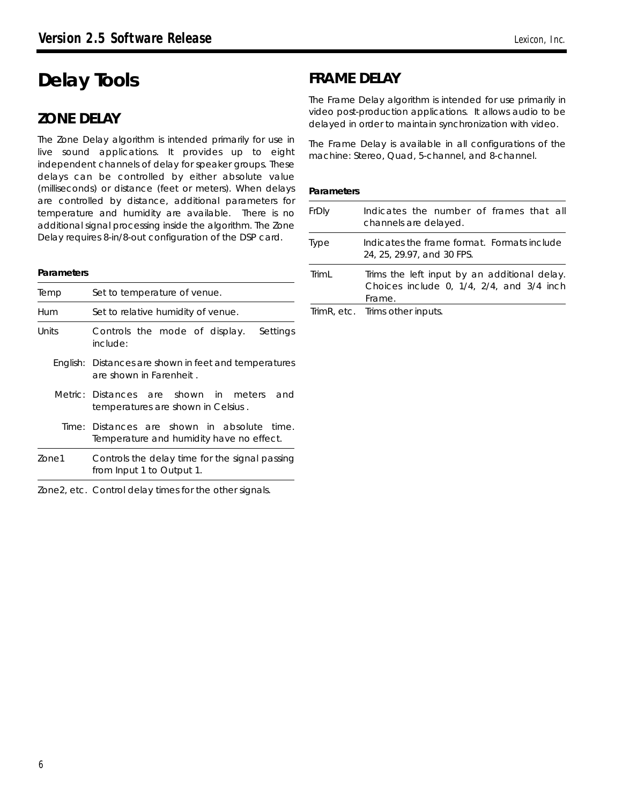# **Delay Tools**

# **ZONE DELAY**

The Zone Delay algorithm is intended primarily for use in live sound applications. It provides up to eight independent channels of delay for speaker groups. These delays can be controlled by either absolute value (milliseconds) or distance (feet or meters). When delays are controlled by distance, additional parameters for temperature and humidity are available. There is no additional signal processing inside the algorithm. The Zone Delay requires 8-in/8-out configuration of the DSP card.

**Parameters**

| Temp                                      | Set to temperature of venue.                                                            |  |  |  |  |  |  |
|-------------------------------------------|-----------------------------------------------------------------------------------------|--|--|--|--|--|--|
| Hum<br>Set to relative humidity of venue. |                                                                                         |  |  |  |  |  |  |
| Units                                     | Controls the mode of display.<br>Settings<br>include:                                   |  |  |  |  |  |  |
|                                           | English: Distances are shown in feet and temperatures<br>are shown in Farenheit .       |  |  |  |  |  |  |
|                                           | Metric: Distances are shown in meters<br>and<br>temperatures are shown in Celsius.      |  |  |  |  |  |  |
|                                           | Time: Distances are shown in absolute time.<br>Temperature and humidity have no effect. |  |  |  |  |  |  |
| Zone1                                     | Controls the delay time for the signal passing<br>from Input 1 to Output 1.             |  |  |  |  |  |  |

Zone2, etc. Control delay times for the other signals.

# **FRAME DELAY**

The Frame Delay algorithm is intended for use primarily in video post-production applications. It allows audio to be delayed in order to maintain synchronization with video.

The Frame Delay is available in all configurations of the machine: Stereo, Quad, 5-channel, and 8-channel.

### **Parameters**

| FrDly | Indicates the number of frames that all<br>channels are delayed.                                    |  |  |  |  |  |  |
|-------|-----------------------------------------------------------------------------------------------------|--|--|--|--|--|--|
| Type  | Indicates the frame format. Formats include<br>24, 25, 29.97, and 30 FPS.                           |  |  |  |  |  |  |
| TrimL | Trims the left input by an additional delay.<br>Choices include 0, 1/4, 2/4, and 3/4 inch<br>Frame. |  |  |  |  |  |  |
|       | TrimR, etc. Trims other inputs.                                                                     |  |  |  |  |  |  |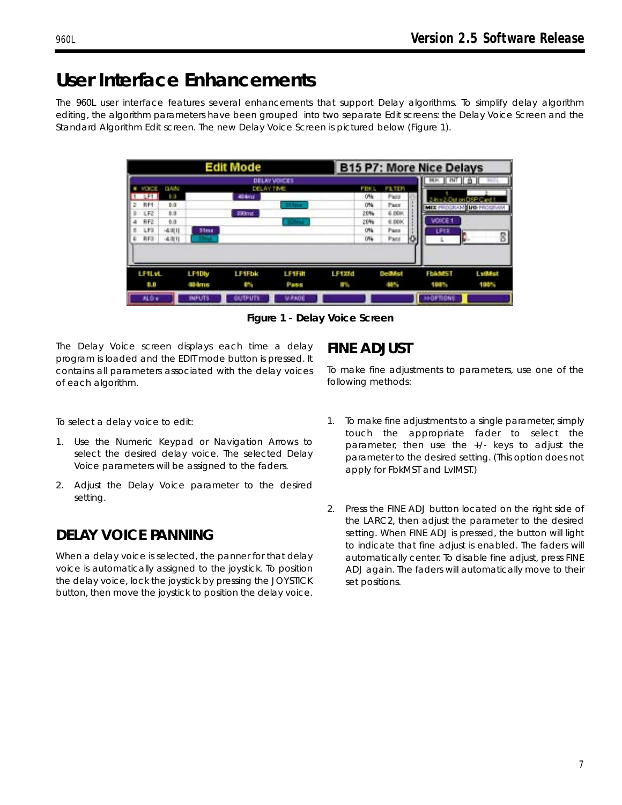# **User Interface Enhancements**

The 960L user interface features several enhancements that support Delay algorithms. To simplify delay algorithm editing, the algorithm parameters have been grouped into two separate Edit screens: the Delay Voice Screen and the Standard Algorithm Edit screen. The new Delay Voice Screen is pictured below (Figure 1).



*Figure 1 - Delay Voice Screen*

The Delay Voice screen displays each time a delay program is loaded and the EDIT mode button is pressed. It contains all parameters associated with the delay voices of each algorithm.

To select a delay voice to edit:

- 1. Use the Numeric Keypad or Navigation Arrows to select the desired delay voice. The selected Delay Voice parameters will be assigned to the faders.
- 2. Adjust the Delay Voice parameter to the desired setting.

# **DELAY VOICE PANNING**

When a delay voice is selected, the panner for that delay voice is automatically assigned to the joystick. To position the delay voice, lock the joystick by pressing the JOYSTICK button, then move the joystick to position the delay voice.

# **FINE ADJUST**

To make fine adjustments to parameters, use one of the following methods:

- 1. To make fine adjustments to a single parameter, simply touch the appropriate fader to select the parameter, then use the +/- keys to adjust the parameter to the desired setting. (This option does not apply for FbkMST and LvlMST.)
- 2. Press the FINE ADJ button located on the right side of the LARC2, then adjust the parameter to the desired setting. When FINE ADJ is pressed, the button will light to indicate that fine adjust is enabled. The faders will automatically center. To disable fine adjust, press FINE ADJ again. The faders will automatically move to their set positions.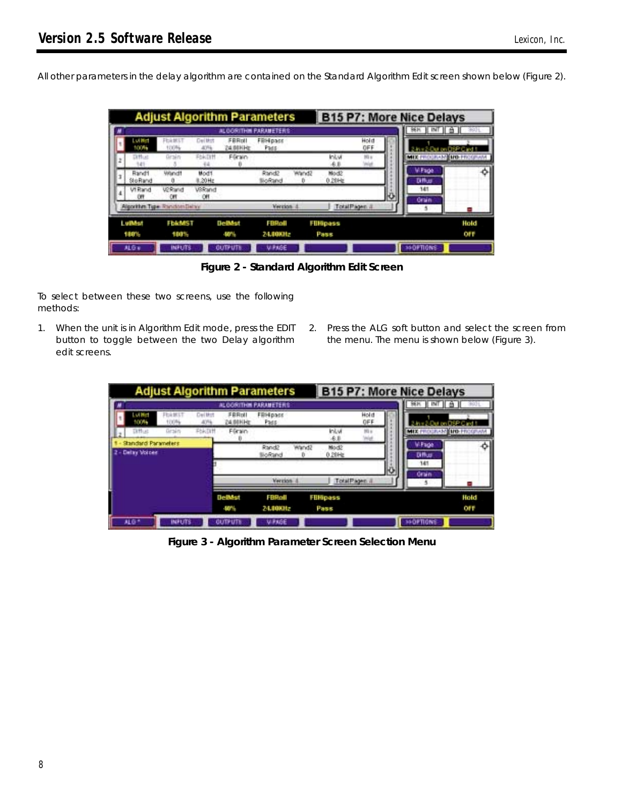All other parameters in the delay algorithm are contained on the Standard Algorithm Edit screen shown below (Figure 2).

|   |                              |                 |                         |                    | <b>Adjust Algorithm Parameters</b> |       |                 |                   | <b>B15 P7: More Nice Delays</b> |        |
|---|------------------------------|-----------------|-------------------------|--------------------|------------------------------------|-------|-----------------|-------------------|---------------------------------|--------|
| N |                              |                 |                         |                    | ALOGRITHM PARAMETERS               |       |                 |                   | SEK   INT                       | $A$ II |
|   | uma<br>100%                  | FbktE<br>111096 | <b>Cellbot</b><br>45714 | FRRott<br>24.00HHz | Filifipaco<br>Pada                 |       |                 | Hold<br>QFF       | Him 2-Dation OSP Card 1         |        |
|   | Diffius                      | Grain           | FEADLY                  | Filinin            |                                    |       | Intui<br>-6.8   | $102$ is<br>iniat | MIX-PROGRAM WO-PROGRAM          |        |
|   | Randt<br>SloRand             | Wandt           | Mod1<br>8.20 Hz         |                    | Rand2<br>lichand                   | Wand2 | Mod2<br>0.20Hz  |                   | W-Page<br>DINU                  |        |
|   | V1 Rand                      | <b>V2Rand</b>   | <b>USRand</b><br>œ      |                    |                                    |       |                 |                   | 141<br>Grain                    |        |
|   | Algorithm Tipe: Random Delay |                 |                         |                    | <b>Verzion</b>                     |       | Total Pagen &   |                   | $\sim$                          |        |
|   | Luthhat                      | <b>FbkMST</b>   |                         | <b>DelMst</b>      | FBRoll                             |       | <b>FBHipass</b> |                   |                                 | Hold   |
|   | 180%                         | 100%            |                         | 40%                | 24.00KHz                           |       | Pass            |                   |                                 | Off    |
|   | ALG v                        | <b>INFUTS</b>   |                         | <b>GUTPUTS</b>     | V-RAGE                             |       |                 |                   | <b>SOFTIGNS</b>                 |        |

*Figure 2 - Standard Algorithm Edit Screen*

To select between these two screens, use the following methods:

- 1. When the unit is in Algorithm Edit mode, press the EDIT button to toggle between the two Delay algorithm edit screens.
- 2. Press the ALG soft button and select the screen from the menu. The menu is shown below (Figure 3).

|                                            |                |                | <b>Adjust Algorithm Parameters</b> |                       |       |                         |               | <b>B15 P7: More Nice Delays</b>   |             |
|--------------------------------------------|----------------|----------------|------------------------------------|-----------------------|-------|-------------------------|---------------|-----------------------------------|-------------|
|                                            |                |                |                                    | ALOCRITHIN PARAMETERS |       |                         |               | M                                 |             |
| <b>Nima</b><br>100%                        | FEARST<br>100% | Del Mot<br>40% | FBRott<br>24.00HHz                 | FillHosse<br>Pada     |       |                         | Hold<br>OFF   | <b>Jose Sullius on OSP Card 1</b> |             |
| <b>Diffust</b>                             | Girain         | PERDIT         | Filinin                            |                       |       | Inl.V<br>6.8            | <b>INGE</b>   | MIX-PROGRAM WO-PROGRAM            |             |
| <b>Standard Parameters</b><br>Detay Voices |                |                |                                    | Rand2<br>lliofaind    | Wand2 | Mod2<br>0.20Hz          |               | W-Fage<br>DINU<br>141<br>Grain    | o           |
|                                            |                |                |                                    | <b>Verzion</b>        |       |                         | Total Pagen & | $-5$                              |             |
|                                            |                |                | <b>DelMst</b><br>40%               | FBRoll<br>24.00KHz    |       | <b>FBHipass</b><br>Pass |               |                                   | Hold<br>Off |
| ALG *                                      | <b>INFUTS</b>  |                | <b>GUTPUTS</b>                     | V-RAGE                |       |                         |               | <b>SSOFTIONS</b>                  |             |

*Figure 3 - Algorithm Parameter Screen Selection Menu*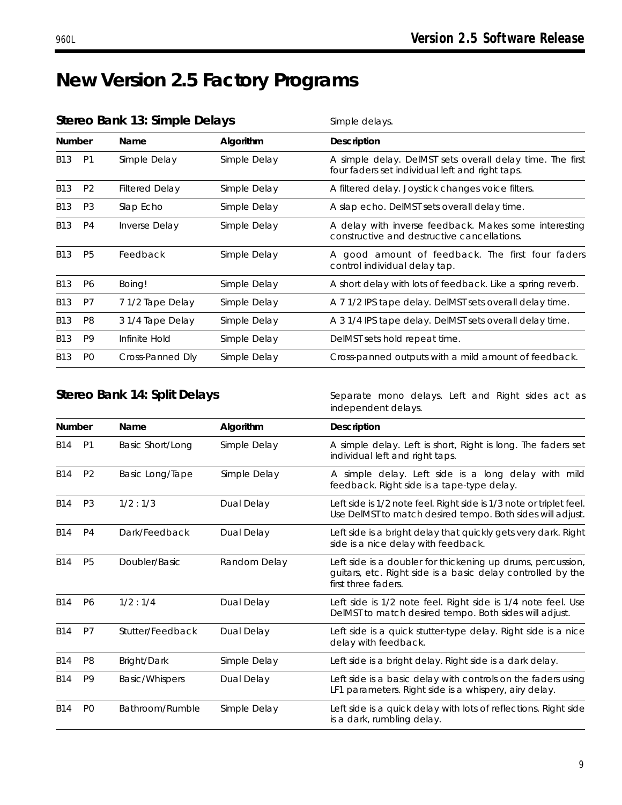# **New Version 2.5 Factory Programs**

|                         |                | Stereo Bank 13: Simple Delays |              | Simple delays.                                                                                               |  |  |  |  |
|-------------------------|----------------|-------------------------------|--------------|--------------------------------------------------------------------------------------------------------------|--|--|--|--|
| <b>Number</b>           |                | Name                          | Algorithm    | Description                                                                                                  |  |  |  |  |
| <b>B13</b><br><b>P1</b> |                | Simple Delay                  | Simple Delay | A simple delay. DelMST sets overall delay time. The first<br>four faders set individual left and right taps. |  |  |  |  |
| <b>B13</b>              | P <sub>2</sub> | <b>Filtered Delay</b>         | Simple Delay | A filtered delay. Joystick changes voice filters.                                                            |  |  |  |  |
| <b>B13</b>              | P <sub>3</sub> | Slap Echo                     | Simple Delay | A slap echo. DelMST sets overall delay time.                                                                 |  |  |  |  |
| <b>B13</b>              | P <sub>4</sub> | Inverse Delay                 | Simple Delay | A delay with inverse feedback. Makes some interesting<br>constructive and destructive cancellations.         |  |  |  |  |
| <b>B13</b>              | P <sub>5</sub> | Feedback                      | Simple Delay | A good amount of feedback. The first four faders<br>control individual delay tap.                            |  |  |  |  |
| B13                     | P6             | Boing!                        | Simple Delay | A short delay with lots of feedback. Like a spring reverb.                                                   |  |  |  |  |
| <b>B13</b>              | P7             | 71/2 Tape Delay               | Simple Delay | A 7 1/2 IPS tape delay. DelMST sets overall delay time.                                                      |  |  |  |  |
| <b>B13</b>              | P <sub>8</sub> | 3 1/4 Tape Delay              | Simple Delay | A 3 1/4 IPS tape delay. DelMST sets overall delay time.                                                      |  |  |  |  |
| <b>B13</b>              | P9             | Infinite Hold                 | Simple Delay | DelMST sets hold repeat time.                                                                                |  |  |  |  |
| <b>B13</b>              | P <sub>0</sub> | Cross-Panned Dly              | Simple Delay | Cross-panned outputs with a mild amount of feedback.                                                         |  |  |  |  |
|                         |                |                               |              |                                                                                                              |  |  |  |  |

**Stereo Bank 14: Split Delays** *Separate mono delays. Left and Right sides act as independent delays.*

| <b>Number</b>                |                | Name                  | Algorithm    | Description                                                                                                                                       |  |  |  |  |
|------------------------------|----------------|-----------------------|--------------|---------------------------------------------------------------------------------------------------------------------------------------------------|--|--|--|--|
| P <sub>1</sub><br><b>B14</b> |                | Basic Short/Long      | Simple Delay | A simple delay. Left is short, Right is long. The faders set<br>individual left and right taps.                                                   |  |  |  |  |
| <b>B14</b>                   | P <sub>2</sub> | Basic Long/Tape       | Simple Delay | A simple delay. Left side is a long delay with mild<br>feedback. Right side is a tape-type delay.                                                 |  |  |  |  |
| <b>B14</b>                   | P <sub>3</sub> | 1/2:1/3               | Dual Delay   | Left side is 1/2 note feel. Right side is 1/3 note or triplet feel.<br>Use DelMST to match desired tempo. Both sides will adjust.                 |  |  |  |  |
| <b>B14</b>                   | P <sub>4</sub> | Dark/Feedback         | Dual Delay   | Left side is a bright delay that quickly gets very dark. Right<br>side is a nice delay with feedback.                                             |  |  |  |  |
| <b>B14</b>                   | P <sub>5</sub> | Doubler/Basic         | Random Delay | Left side is a doubler for thickening up drums, percussion,<br>guitars, etc. Right side is a basic delay controlled by the<br>first three faders. |  |  |  |  |
| <b>B14</b>                   | P <sub>6</sub> | 1/2:1/4               | Dual Delay   | Left side is 1/2 note feel. Right side is 1/4 note feel. Use<br>DelMST to match desired tempo. Both sides will adjust.                            |  |  |  |  |
| <b>B14</b>                   | P7             | Stutter/Feedback      | Dual Delay   | Left side is a quick stutter-type delay. Right side is a nice<br>delay with feedback.                                                             |  |  |  |  |
| <b>B14</b>                   | P <sub>8</sub> | Bright/Dark           | Simple Delay | Left side is a bright delay. Right side is a dark delay.                                                                                          |  |  |  |  |
| <b>B14</b>                   | P <sub>9</sub> | <b>Basic/Whispers</b> | Dual Delay   | Left side is a basic delay with controls on the faders using<br>LF1 parameters. Right side is a whispery, airy delay.                             |  |  |  |  |
| <b>B14</b>                   | P <sub>0</sub> | Bathroom/Rumble       | Simple Delay | Left side is a quick delay with lots of reflections. Right side<br>is a dark, rumbling delay.                                                     |  |  |  |  |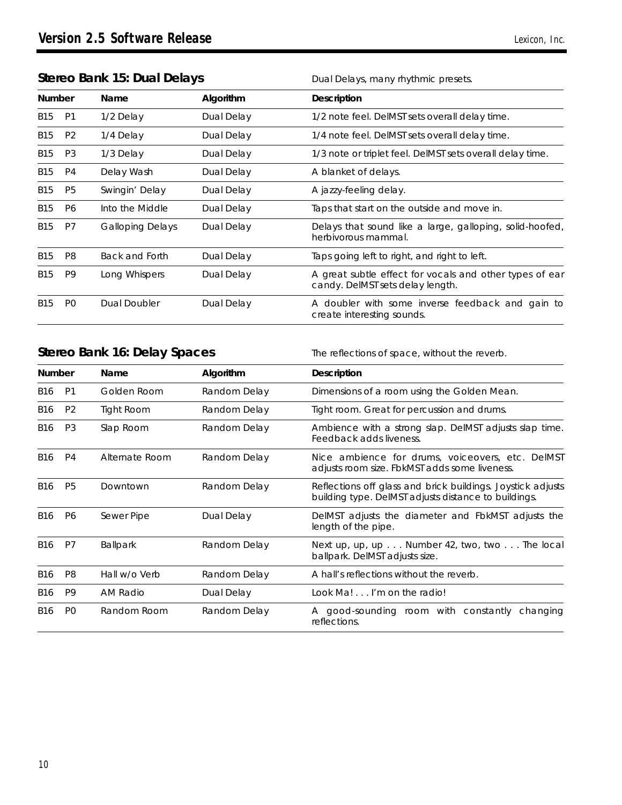# **Stereo Bank 15: Dual Delays** *Dual Delays, many rhythmic presets.*

| <b>Number</b> |                | Name                    | Algorithm  | Description                                                                                 |
|---------------|----------------|-------------------------|------------|---------------------------------------------------------------------------------------------|
| <b>B15</b>    | <b>P1</b>      | 1/2 Delay               | Dual Delay | 1/2 note feel. DelMST sets overall delay time.                                              |
| <b>B15</b>    | P <sub>2</sub> | 1/4 Delay               | Dual Delay | 1/4 note feel. DelMST sets overall delay time.                                              |
| <b>B15</b>    | P <sub>3</sub> | 1/3 Delay               | Dual Delay | 1/3 note or triplet feel. DelMST sets overall delay time.                                   |
| <b>B15</b>    | P <sub>4</sub> | Delay Wash              | Dual Delay | A blanket of delays.                                                                        |
| <b>B15</b>    | P <sub>5</sub> | Swingin' Delay          | Dual Delay | A jazzy-feeling delay.                                                                      |
| <b>B15</b>    | P <sub>6</sub> | Into the Middle         | Dual Delay | Taps that start on the outside and move in.                                                 |
| <b>B15</b>    | P7             | <b>Galloping Delays</b> | Dual Delay | Delays that sound like a large, galloping, solid-hoofed,<br>herbivorous mammal.             |
| <b>B15</b>    | P <sub>8</sub> | Back and Forth          | Dual Delay | Taps going left to right, and right to left.                                                |
| <b>B15</b>    | P <sub>9</sub> | Long Whispers           | Dual Delay | A great subtle effect for vocals and other types of ear<br>candy. DelMST sets delay length. |
| B15           | P <sub>0</sub> | Dual Doubler            | Dual Delay | A doubler with some inverse feedback and gain to<br>create interesting sounds.              |

### **Stereo Bank 16: Delay Spaces** *The reflections of space, without the reverb.*

| <b>Number</b>   |                | Name            | Algorithm    | Description                                                                                                         |  |
|-----------------|----------------|-----------------|--------------|---------------------------------------------------------------------------------------------------------------------|--|
| B16             | P <sub>1</sub> | Golden Room     | Random Delay | Dimensions of a room using the Golden Mean.                                                                         |  |
| B16             | P <sub>2</sub> | Tight Room      | Random Delay | Tight room. Great for percussion and drums.                                                                         |  |
| B16             | P <sub>3</sub> | Slap Room       | Random Delay | Ambience with a strong slap. DelMST adjusts slap time.<br>Feedback adds liveness.                                   |  |
| B <sub>16</sub> | P <sub>4</sub> | Alternate Room  | Random Delay | Nice ambience for drums, voiceovers, etc. DelMST<br>adjusts room size. FbkMST adds some liveness.                   |  |
| B <sub>16</sub> | P <sub>5</sub> | Downtown        | Random Delay | Reflections off glass and brick buildings. Joystick adjusts<br>building type. DelMST adjusts distance to buildings. |  |
| B <sub>16</sub> | <b>P6</b>      | Sewer Pipe      | Dual Delay   | DelMST adjusts the diameter and FbkMST adjusts the<br>length of the pipe.                                           |  |
| <b>B16</b>      | P7             | <b>Ballpark</b> | Random Delay | Next up, up, up Number 42, two, two The local<br>ballpark. DelMST adjusts size.                                     |  |
| <b>B16</b>      | P <sub>8</sub> | Hall w/o Verb   | Random Delay | A hall's reflections without the reverb.                                                                            |  |
| <b>B16</b>      | P <sub>9</sub> | AM Radio        | Dual Delay   | Look Ma! I'm on the radio!                                                                                          |  |
| B <sub>16</sub> | P <sub>0</sub> | Random Room     | Random Delay | A good-sounding room with constantly changing<br>reflections.                                                       |  |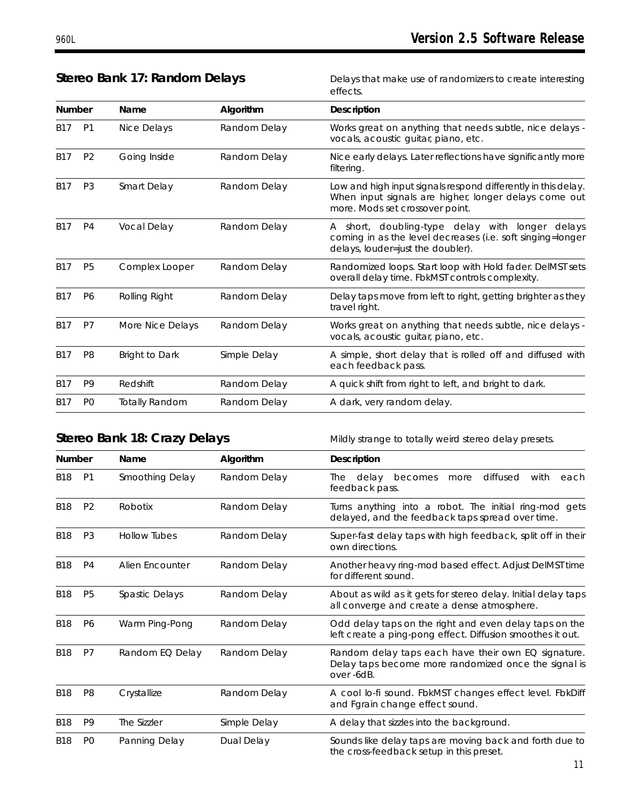| <b>Number</b> |                | Name                  | Algorithm    | Description                                                                                                                                               |                                                                                                  |
|---------------|----------------|-----------------------|--------------|-----------------------------------------------------------------------------------------------------------------------------------------------------------|--------------------------------------------------------------------------------------------------|
| <b>B17</b>    | P <sub>1</sub> | Nice Delays           | Random Delay |                                                                                                                                                           | Works great on anything that needs subtle, nice delays -<br>vocals, acoustic guitar, piano, etc. |
| <b>B17</b>    | P <sub>2</sub> | Going Inside          | Random Delay | Nice early delays. Later reflections have significantly more<br>filtering.                                                                                |                                                                                                  |
| <b>B17</b>    | P <sub>3</sub> | Smart Delay           | Random Delay | Low and high input signals respond differently in this delay.<br>When input signals are higher, longer delays come out<br>more. Mods set crossover point. |                                                                                                  |
| <b>B17</b>    | P <sub>4</sub> | Vocal Delay           | Random Delay | A short, doubling-type delay with longer delays<br>coming in as the level decreases (i.e. soft singing=longer<br>delays, louder=just the doubler).        |                                                                                                  |
| <b>B17</b>    | P <sub>5</sub> | Complex Looper        | Random Delay | Randomized loops. Start loop with Hold fader. DelMST sets<br>overall delay time. FbkMST controls complexity.                                              |                                                                                                  |
| <b>B17</b>    | P <sub>6</sub> | Rolling Right         | Random Delay | Delay taps move from left to right, getting brighter as they<br>travel right.                                                                             |                                                                                                  |
| <b>B17</b>    | P7             | More Nice Delays      | Random Delay | Works great on anything that needs subtle, nice delays -<br>vocals, acoustic guitar, piano, etc.                                                          |                                                                                                  |
| <b>B17</b>    | P <sub>8</sub> | <b>Bright to Dark</b> | Simple Delay | A simple, short delay that is rolled off and diffused with<br>each feedback pass.                                                                         |                                                                                                  |
| <b>B17</b>    | P <sub>9</sub> | Redshift              | Random Delay | A quick shift from right to left, and bright to dark.                                                                                                     |                                                                                                  |
| <b>B17</b>    | P <sub>0</sub> | <b>Totally Random</b> | Random Delay | A dark, very random delay.                                                                                                                                |                                                                                                  |

**Stereo Bank 17: Random Delays** *Delays that make use of randomizers to create interesting effects.*

**Stereo Bank 18: Crazy Delays** *Mildly strange to totally weird stereo delay presets.*

| Number     |                | Name                   | Algorithm    | Description                                                                                                               |
|------------|----------------|------------------------|--------------|---------------------------------------------------------------------------------------------------------------------------|
| <b>B18</b> | P <sub>1</sub> | <b>Smoothing Delay</b> | Random Delay | diffused<br>delay<br>with<br>The<br>becomes<br>each<br>more<br>feedback pass.                                             |
| <b>B18</b> | P <sub>2</sub> | Robotix                | Random Delay | Turns anything into a robot. The initial ring-mod gets<br>delayed, and the feedback taps spread over time.                |
| <b>B18</b> | P <sub>3</sub> | <b>Hollow Tubes</b>    | Random Delay | Super-fast delay taps with high feedback, split off in their<br>own directions.                                           |
| <b>B18</b> | P <sub>4</sub> | <b>Alien Encounter</b> | Random Delay | Another heavy ring-mod based effect. Adjust DelMST time<br>for different sound.                                           |
| <b>B18</b> | P <sub>5</sub> | Spastic Delays         | Random Delay | About as wild as it gets for stereo delay. Initial delay taps<br>all converge and create a dense atmosphere.              |
| <b>B18</b> | <b>P6</b>      | Warm Ping-Pong         | Random Delay | Odd delay taps on the right and even delay taps on the<br>left create a ping-pong effect. Diffusion smoothes it out.      |
| <b>B18</b> | P7             | Random EQ Delay        | Random Delay | Random delay taps each have their own EQ signature.<br>Delay taps become more randomized once the signal is<br>over -6dB. |
| <b>B18</b> | P <sub>8</sub> | Crystallize            | Random Delay | A cool lo-fi sound. FbkMST changes effect level. FbkDiff<br>and Fgrain change effect sound.                               |
| <b>B18</b> | P <sub>9</sub> | The Sizzler            | Simple Delay | A delay that sizzles into the background.                                                                                 |
| <b>B18</b> | P <sub>0</sub> | Panning Delay          | Dual Delay   | Sounds like delay taps are moving back and forth due to<br>the cross-feedback setup in this preset.                       |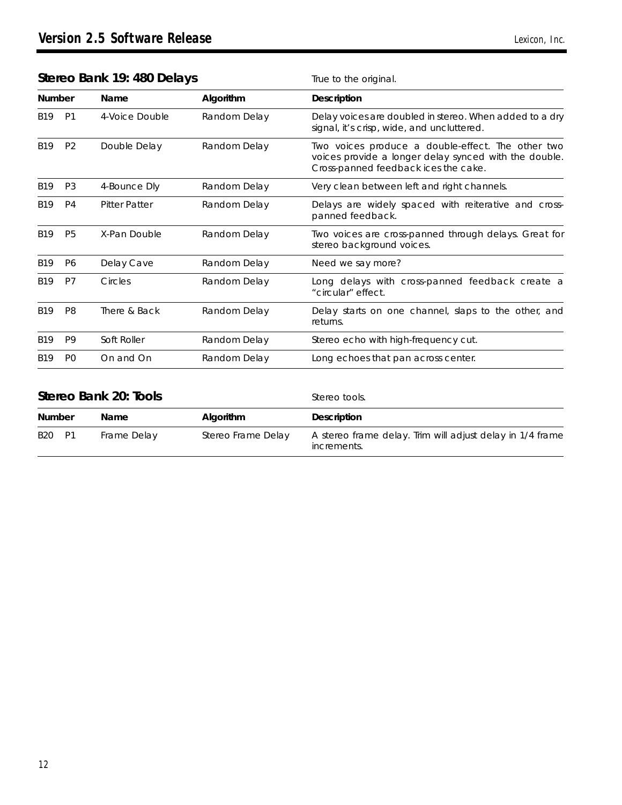# Stereo Bank 19: 480 Delays *True to the original.*

|  | True to the original. |
|--|-----------------------|

| <b>Number</b> |                | Name                 | Algorithm    | Description                                                                                                                                        |
|---------------|----------------|----------------------|--------------|----------------------------------------------------------------------------------------------------------------------------------------------------|
| <b>B19</b>    | P <sub>1</sub> | 4-Voice Double       | Random Delay | Delay voices are doubled in stereo. When added to a dry<br>signal, it's crisp, wide, and uncluttered.                                              |
| <b>B19</b>    | P <sub>2</sub> | Double Delay         | Random Delay | Two voices produce a double-effect. The other two<br>voices provide a longer delay synced with the double.<br>Cross-panned feedback ices the cake. |
| <b>B19</b>    | P <sub>3</sub> | 4-Bounce Dly         | Random Delay | Very clean between left and right channels.                                                                                                        |
| <b>B19</b>    | P4             | <b>Pitter Patter</b> | Random Delay | Delays are widely spaced with reiterative and cross-<br>panned feedback.                                                                           |
| <b>B19</b>    | P <sub>5</sub> | X-Pan Double         | Random Delay | Two voices are cross-panned through delays. Great for<br>stereo background voices.                                                                 |
| <b>B19</b>    | P6             | Delay Cave           | Random Delay | Need we say more?                                                                                                                                  |
| <b>B19</b>    | P7             | Circles              | Random Delay | Long delays with cross-panned feedback create a<br>"circular" effect.                                                                              |
| <b>B19</b>    | P <sub>8</sub> | There & Back         | Random Delay | Delay starts on one channel, slaps to the other, and<br>returns.                                                                                   |
| <b>B19</b>    | P <sub>9</sub> | Soft Roller          | Random Delay | Stereo echo with high-frequency cut.                                                                                                               |
| <b>B19</b>    | P <sub>0</sub> | On and On            | Random Delay | Long echoes that pan across center.                                                                                                                |

|             | Stereo Bank 20: Tools |                    | Stereo tools.                                                            |  |
|-------------|-----------------------|--------------------|--------------------------------------------------------------------------|--|
| Number      | Name                  | Algorithm          | Description                                                              |  |
| B20<br>- P1 | Frame Delay           | Stereo Frame Delay | A stereo frame delay. Trim will adjust delay in 1/4 frame<br>increments. |  |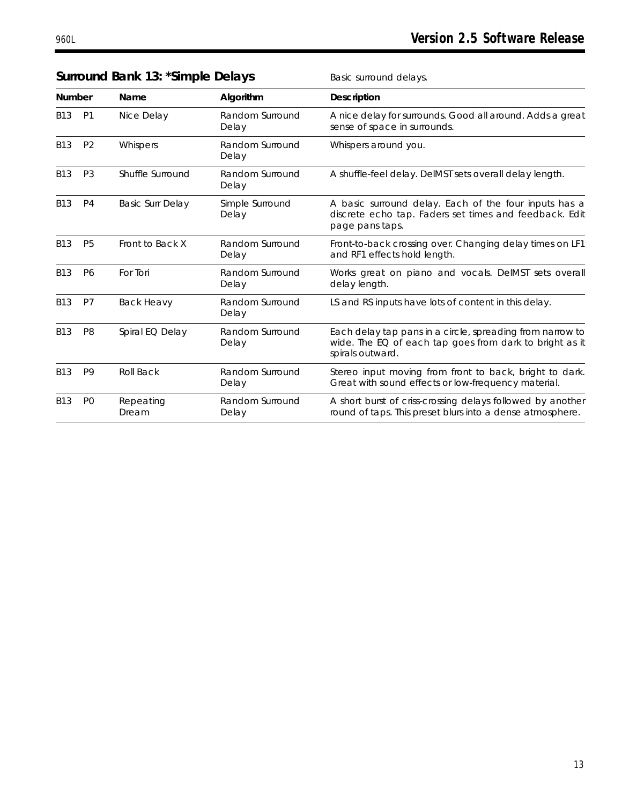| <b>Number</b>   |                | Name                    | Algorithm                | Description                                                                                                                              |
|-----------------|----------------|-------------------------|--------------------------|------------------------------------------------------------------------------------------------------------------------------------------|
| B <sub>13</sub> | <b>P1</b>      | Nice Delay              | Random Surround<br>Delay | A nice delay for surrounds. Good all around. Adds a great<br>sense of space in surrounds.                                                |
| <b>B13</b>      | P <sub>2</sub> | Whispers                | Random Surround<br>Delay | Whispers around you.                                                                                                                     |
| <b>B13</b>      | P <sub>3</sub> | Shuffle Surround        | Random Surround<br>Delay | A shuffle-feel delay. DelMST sets overall delay length.                                                                                  |
| <b>B13</b>      | P4             | <b>Basic Surr Delay</b> | Simple Surround<br>Delay | A basic surround delay. Each of the four inputs has a<br>discrete echo tap. Faders set times and feedback. Edit<br>page pans taps.       |
| <b>B13</b>      | P <sub>5</sub> | Front to Back X         | Random Surround<br>Delay | Front-to-back crossing over. Changing delay times on LF1<br>and RF1 effects hold length.                                                 |
| <b>B13</b>      | <b>P6</b>      | For Tori                | Random Surround<br>Delay | Works great on piano and vocals. DelMST sets overall<br>delay length.                                                                    |
| <b>B13</b>      | P7             | <b>Back Heavy</b>       | Random Surround<br>Delay | LS and RS inputs have lots of content in this delay.                                                                                     |
| <b>B13</b>      | P <sub>8</sub> | Spiral EQ Delay         | Random Surround<br>Delay | Each delay tap pans in a circle, spreading from narrow to<br>wide. The EQ of each tap goes from dark to bright as it<br>spirals outward. |
| <b>B13</b>      | P <sub>9</sub> | <b>Roll Back</b>        | Random Surround<br>Delay | Stereo input moving from front to back, bright to dark.<br>Great with sound effects or low-frequency material.                           |
| <b>B13</b>      | P <sub>0</sub> | Repeating<br>Dream      | Random Surround<br>Delay | A short burst of criss-crossing delays followed by another<br>round of taps. This preset blurs into a dense atmosphere.                  |

### **Surround Bank 13: \*Simple Delays** *Basic surround delays.*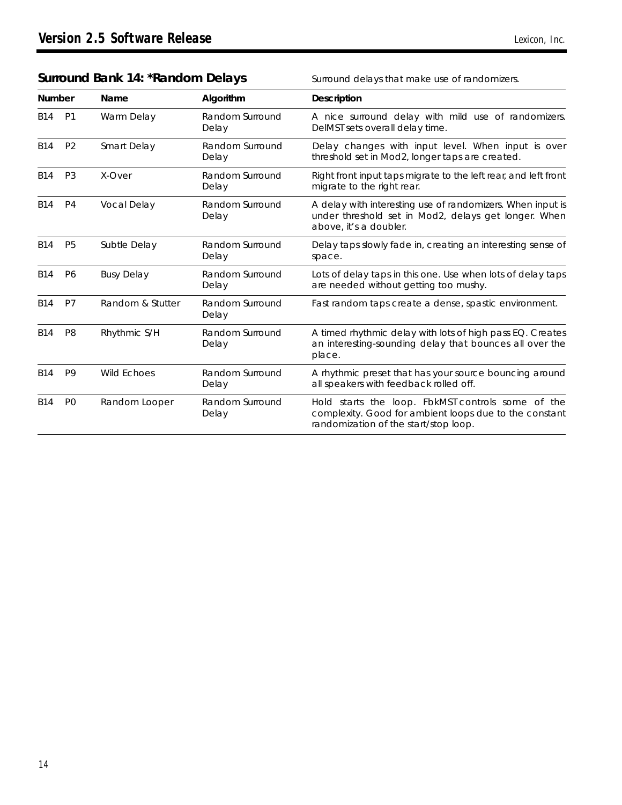# **Surround Bank 14: \*Random Delays** *Surround delays that make use of randomizers.*

| <b>Number</b> |                | Name               | Algorithm                | Description                                                                                                                                          |  |
|---------------|----------------|--------------------|--------------------------|------------------------------------------------------------------------------------------------------------------------------------------------------|--|
| <b>B14</b>    | P <sub>1</sub> | Warm Delay         | Random Surround<br>Delay | A nice surround delay with mild use of randomizers.<br>DelMST sets overall delay time.                                                               |  |
| <b>B14</b>    | P <sub>2</sub> | <b>Smart Delay</b> | Random Surround<br>Delay | Delay changes with input level. When input is over<br>threshold set in Mod2, longer taps are created.                                                |  |
| <b>B14</b>    | P <sub>3</sub> | X-Over             | Random Surround<br>Delay | Right front input taps migrate to the left rear, and left front<br>migrate to the right rear.                                                        |  |
| <b>B14</b>    | P <sub>4</sub> | Vocal Delay        | Random Surround<br>Delay | A delay with interesting use of randomizers. When input is<br>under threshold set in Mod2, delays get longer. When<br>above, it's a doubler.         |  |
| <b>B14</b>    | P <sub>5</sub> | Subtle Delay       | Random Surround<br>Delay | Delay taps slowly fade in, creating an interesting sense of<br>space.                                                                                |  |
| <b>B14</b>    | <b>P6</b>      | <b>Busy Delay</b>  | Random Surround<br>Delay | Lots of delay taps in this one. Use when lots of delay taps<br>are needed without getting too mushy.                                                 |  |
| <b>B14</b>    | P7             | Random & Stutter   | Random Surround<br>Delay | Fast random taps create a dense, spastic environment.                                                                                                |  |
| <b>B14</b>    | P <sub>8</sub> | Rhythmic S/H       | Random Surround<br>Delay | A timed rhythmic delay with lots of high pass EQ. Creates<br>an interesting-sounding delay that bounces all over the<br>place.                       |  |
| <b>B14</b>    | P <sub>9</sub> | <b>Wild Echoes</b> | Random Surround<br>Delay | A rhythmic preset that has your source bouncing around<br>all speakers with feedback rolled off.                                                     |  |
| <b>B14</b>    | P <sub>0</sub> | Random Looper      | Random Surround<br>Delay | Hold starts the loop. FbkMST controls some of the<br>complexity. Good for ambient loops due to the constant<br>randomization of the start/stop loop. |  |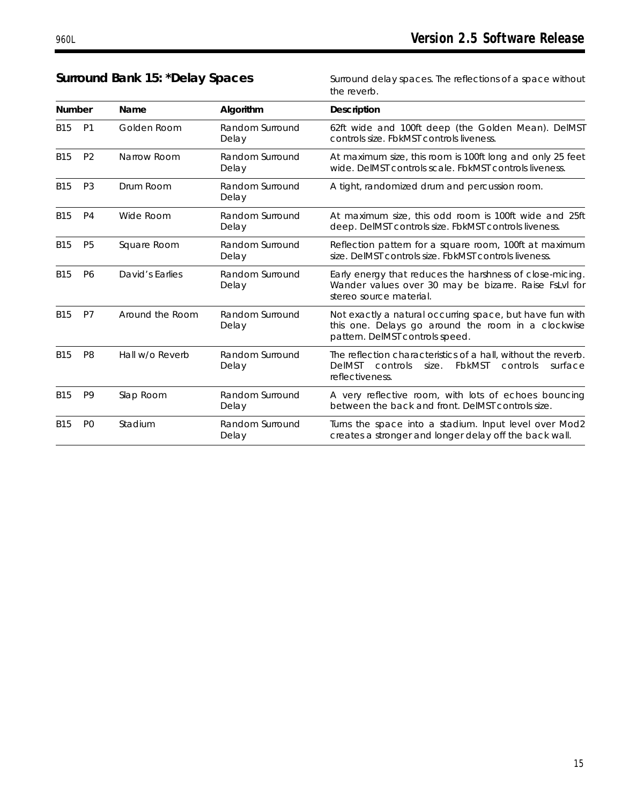| <b>Number</b> |                | Name            | Algorithm                | Description                                                                                                                                                    |
|---------------|----------------|-----------------|--------------------------|----------------------------------------------------------------------------------------------------------------------------------------------------------------|
| <b>B15</b>    | <b>P1</b>      | Golden Room     | Random Surround<br>Delay | 62ft wide and 100ft deep (the Golden Mean). DelMST<br>controls size. FbkMST controls liveness.                                                                 |
| <b>B15</b>    | P <sub>2</sub> | Narrow Room     | Random Surround<br>Delay | At maximum size, this room is 100ft long and only 25 feet<br>wide. DeIMST controls scale. FbkMST controls liveness.                                            |
| <b>B15</b>    | P <sub>3</sub> | Drum Room       | Random Surround<br>Delay | A tight, randomized drum and percussion room.                                                                                                                  |
| <b>B15</b>    | P <sub>4</sub> | Wide Room       | Random Surround<br>Delay | At maximum size, this odd room is 100ft wide and 25ft<br>deep. DeIMST controls size. FbkMST controls liveness.                                                 |
| <b>B15</b>    | P <sub>5</sub> | Square Room     | Random Surround<br>Delay | Reflection pattern for a square room, 100ft at maximum<br>size. DelMST controls size. FbkMST controls liveness.                                                |
| <b>B15</b>    | P <sub>6</sub> | David's Earlies | Random Surround<br>Delay | Early energy that reduces the harshness of close-micing.<br>Wander values over 30 may be bizarre. Raise FsLvI for<br>stereo source material.                   |
| <b>B15</b>    | P7             | Around the Room | Random Surround<br>Delay | Not exactly a natural occurring space, but have fun with<br>this one. Delays go around the room in a clockwise<br>pattern. DelMST controls speed.              |
| <b>B15</b>    | P <sub>8</sub> | Hall w/o Reverb | Random Surround<br>Delay | The reflection characteristics of a hall, without the reverb.<br><b>DelMST</b><br><b>FbkMST</b><br>controls<br>size.<br>controls<br>surface<br>reflectiveness. |
| <b>B15</b>    | P <sub>9</sub> | Slap Room       | Random Surround<br>Delay | A very reflective room, with lots of echoes bouncing<br>between the back and front. DelMST controls size.                                                      |
| <b>B15</b>    | P <sub>0</sub> | Stadium         | Random Surround<br>Delay | Turns the space into a stadium. Input level over Mod2<br>creates a stronger and longer delay off the back wall.                                                |

**Surround Bank 15: \*Delay Spaces** *Surround delay spaces. The reflections of a space without the reverb.*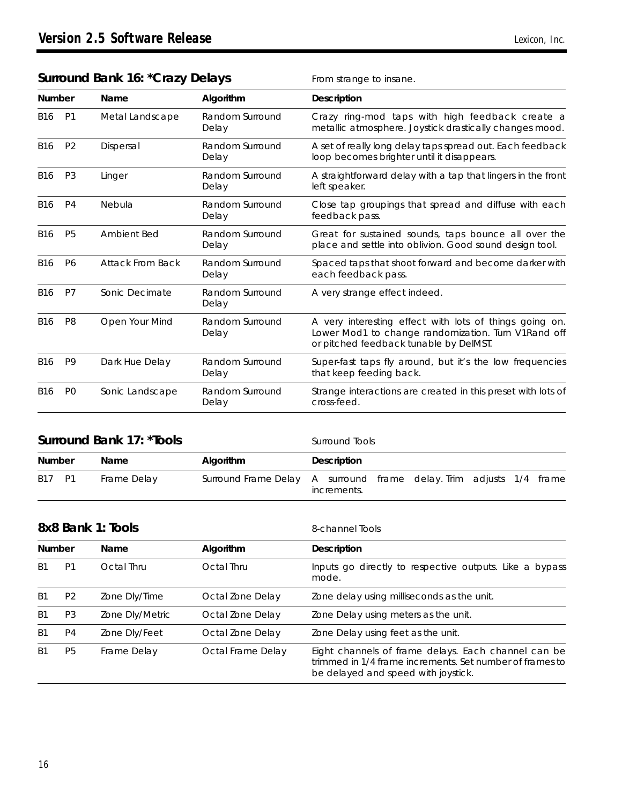# **Surround Bank 16: \*Crazy Delays** *From strange to insane.*

| <b>Number</b> |                | Name                    | Algorithm                | Description                                                                                                                                              |
|---------------|----------------|-------------------------|--------------------------|----------------------------------------------------------------------------------------------------------------------------------------------------------|
| <b>B16</b>    | P <sub>1</sub> | Metal Landscape         | Random Surround<br>Delay | Crazy ring-mod taps with high feedback create a<br>metallic atmosphere. Joystick drastically changes mood.                                               |
| <b>B16</b>    | P <sub>2</sub> | Dispersal               | Random Surround<br>Delay | A set of really long delay taps spread out. Each feedback<br>loop becomes brighter until it disappears.                                                  |
| <b>B16</b>    | P <sub>3</sub> | Linger                  | Random Surround<br>Delay | A straightforward delay with a tap that lingers in the front<br>left speaker.                                                                            |
| <b>B16</b>    | P <sub>4</sub> | Nebula                  | Random Surround<br>Delay | Close tap groupings that spread and diffuse with each<br>feedback pass.                                                                                  |
| <b>B16</b>    | P <sub>5</sub> | <b>Ambient Bed</b>      | Random Surround<br>Delay | Great for sustained sounds, taps bounce all over the<br>place and settle into oblivion. Good sound design tool.                                          |
| <b>B16</b>    | <b>P6</b>      | <b>Attack From Back</b> | Random Surround<br>Delay | Spaced taps that shoot forward and become darker with<br>each feedback pass.                                                                             |
| <b>B16</b>    | P7             | Sonic Decimate          | Random Surround<br>Delay | A very strange effect indeed.                                                                                                                            |
| <b>B16</b>    | P <sub>8</sub> | Open Your Mind          | Random Surround<br>Delay | A very interesting effect with lots of things going on.<br>Lower Mod1 to change randomization. Turn V1Rand off<br>or pitched feedback tunable by DelMST. |
| <b>B16</b>    | P <sub>9</sub> | Dark Hue Delay          | Random Surround<br>Delay | Super-fast taps fly around, but it's the low frequencies<br>that keep feeding back.                                                                      |
| <b>B16</b>    | P <sub>0</sub> | Sonic Landscape         | Random Surround<br>Delay | Strange interactions are created in this preset with lots of<br>cross-feed.                                                                              |

| Surround Bank 17: *Tools |  |             |           | Surround Tools                                                                     |  |  |  |  |
|--------------------------|--|-------------|-----------|------------------------------------------------------------------------------------|--|--|--|--|
| Number<br>Name           |  |             | Algorithm | Description                                                                        |  |  |  |  |
| B17 P1                   |  | Frame Delay |           | Surround Frame Delay A surround frame delay. Trim adjusts 1/4 frame<br>increments. |  |  |  |  |

|                |                | 8x8 Bank 1: Tools        |                                                                  | 8-channel Tools                                                                                                                                        |
|----------------|----------------|--------------------------|------------------------------------------------------------------|--------------------------------------------------------------------------------------------------------------------------------------------------------|
| Number         |                | Name                     | Algorithm                                                        | Description                                                                                                                                            |
| <sub>R1</sub>  | P <sub>1</sub> | Octal Thru<br>Octal Thru | Inputs go directly to respective outputs. Like a bypass<br>mode. |                                                                                                                                                        |
| <sub>R1</sub>  | P <sub>2</sub> | Zone Dly/Time            | Octal Zone Delay                                                 | Zone delay using milliseconds as the unit.                                                                                                             |
| B <sub>1</sub> | P <sub>3</sub> | Zone Dly/Metric          | Octal Zone Delay                                                 | Zone Delay using meters as the unit.                                                                                                                   |
| B <sub>1</sub> | P <sub>4</sub> | Zone Dly/Feet            | Octal Zone Delay                                                 | Zone Delay using feet as the unit.                                                                                                                     |
| <sub>R1</sub>  | <b>P5</b>      | Frame Delay              | Octal Frame Delay                                                | Eight channels of frame delays. Each channel can be<br>trimmed in 1/4 frame increments. Set number of frames to<br>be delayed and speed with joystick. |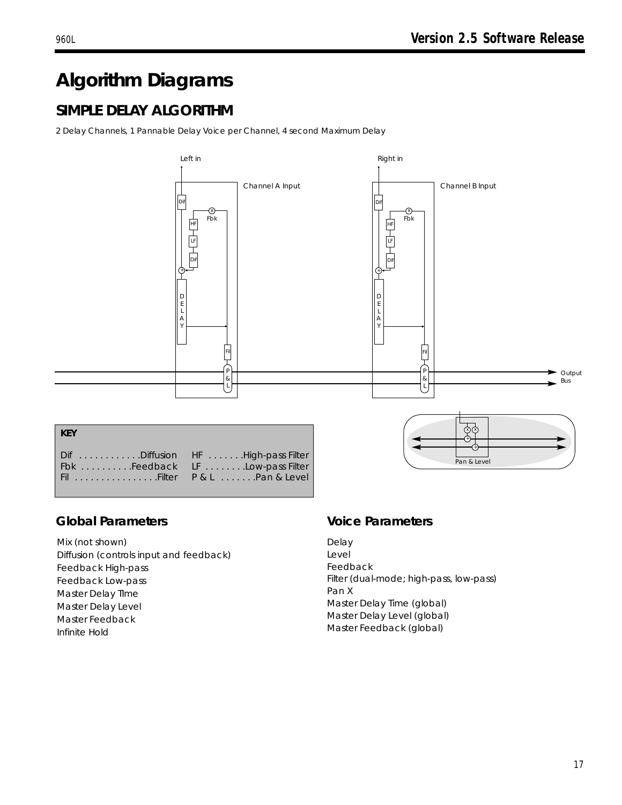# *Algorithm Diagrams*

# **SIMPLE DELAY ALGORITHM**

*2 Delay Channels, 1 Pannable Delay Voice per Channel, 4 second Maximum Delay*



| <b>KFY</b>                                                           |  |
|----------------------------------------------------------------------|--|
| Dif Diffusion HF High-pass Filter<br>Fbk Feedback LF Low-pass Filter |  |

# *Global Parameters*

*Mix (not shown) Diffusion (controls input and feedback) Feedback High-pass Feedback Low-pass Master Delay TIme Master Delay Level Master Feedback Infinite Hold*

### *Voice Parameters*

*Delay Level Feedback Filter (dual-mode; high-pass, low-pass) Pan X Master Delay Time (global) Master Delay Level (global) Master Feedback (global)*

Pan & Level

 $(x)(x)$ + +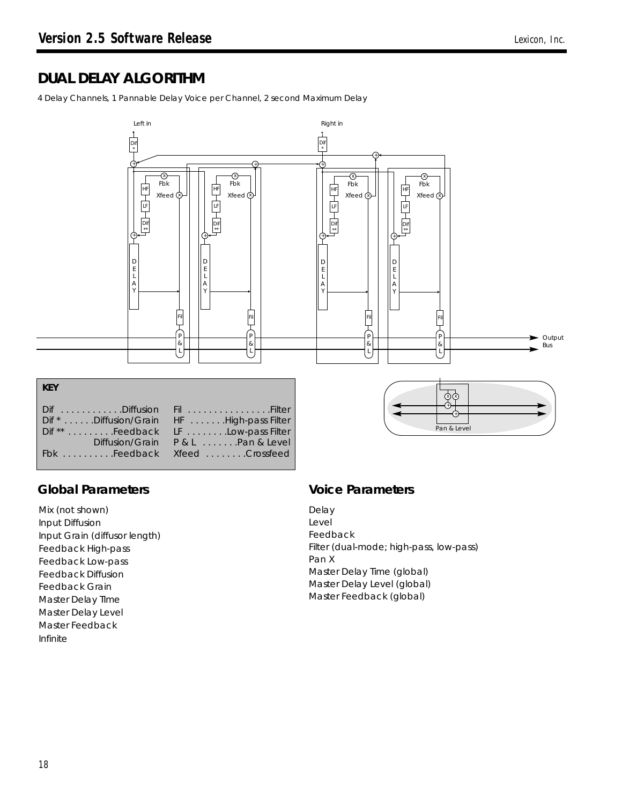# **DUAL DELAY ALGORITHM**

*4 Delay Channels, 1 Pannable Delay Voice per Channel, 2 second Maximum Delay*



| <b>KFY</b>                   |                                                                                                                                                                        |
|------------------------------|------------------------------------------------------------------------------------------------------------------------------------------------------------------------|
| Fbk Feedback Xfeed Crossfeed | Dif Diffusion Fil Filter<br>Dif <sup>*</sup> Diffusion/Grain HF High-pass Filter<br>Dif <sup>**</sup> Feedback LF Low-pass Filter<br>Diffusion/Grain P & L Pan & Level |



# *Global Parameters*

*Mix (not shown) Input Diffusion Input Grain (diffusor length) Feedback High-pass Feedback Low-pass Feedback Diffusion Feedback Grain Master Delay TIme Master Delay Level Master Feedback Infinite*

# *Voice Parameters*

*Delay Level Feedback Filter (dual-mode; high-pass, low-pass) Pan X Master Delay Time (global) Master Delay Level (global) Master Feedback (global)*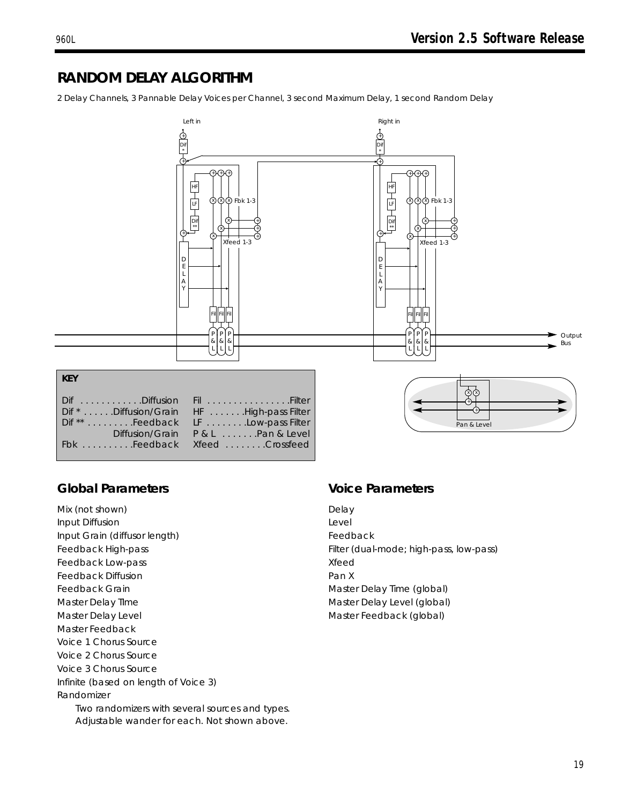# **RANDOM DELAY ALGORITHM**

*2 Delay Channels, 3 Pannable Delay Voices per Channel, 3 second Maximum Delay, 1 second Random Delay*



# *Global Parameters*

*Mix (not shown) Input Diffusion Input Grain (diffusor length) Feedback High-pass Feedback Low-pass Feedback Diffusion Feedback Grain Master Delay TIme Master Delay Level Master Feedback Voice 1 Chorus Source Voice 2 Chorus Source Voice 3 Chorus Source Infinite (based on length of Voice 3) Randomizer Two randomizers with several sources and types. Adjustable wander for each. Not shown above.*

# *Voice Parameters*

*Delay Level Feedback Filter (dual-mode; high-pass, low-pass) Xfeed Pan X Master Delay Time (global) Master Delay Level (global) Master Feedback (global)*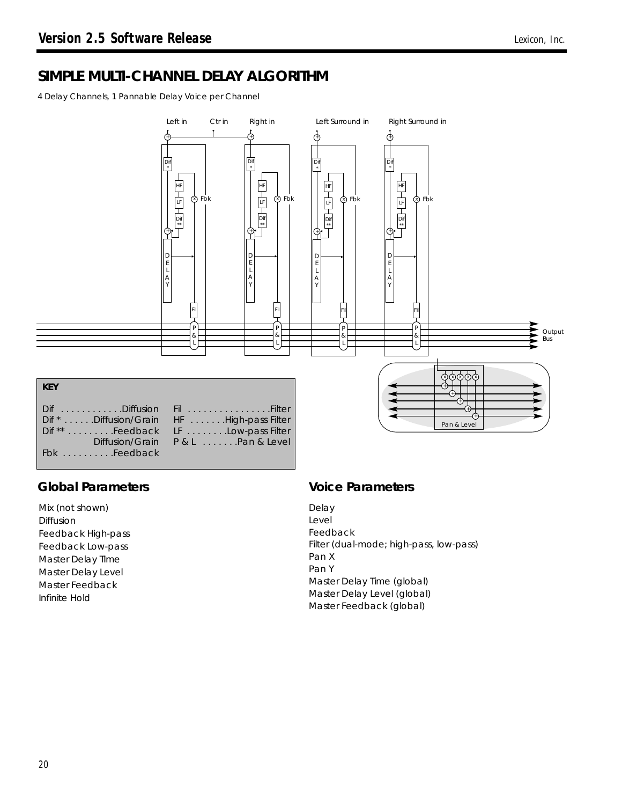# **SIMPLE MULTI-CHANNEL DELAY ALGORITHM**

*4 Delay Channels, 1 Pannable Delay Voice per Channel*



# *Global Parameters*

*Mix (not shown) Diffusion Feedback High-pass Feedback Low-pass Master Delay TIme Master Delay Level Master Feedback Infinite Hold*

# *Voice Parameters*

*Delay Level Feedback Filter (dual-mode; high-pass, low-pass) Pan X Pan Y Master Delay Time (global) Master Delay Level (global) Master Feedback (global)*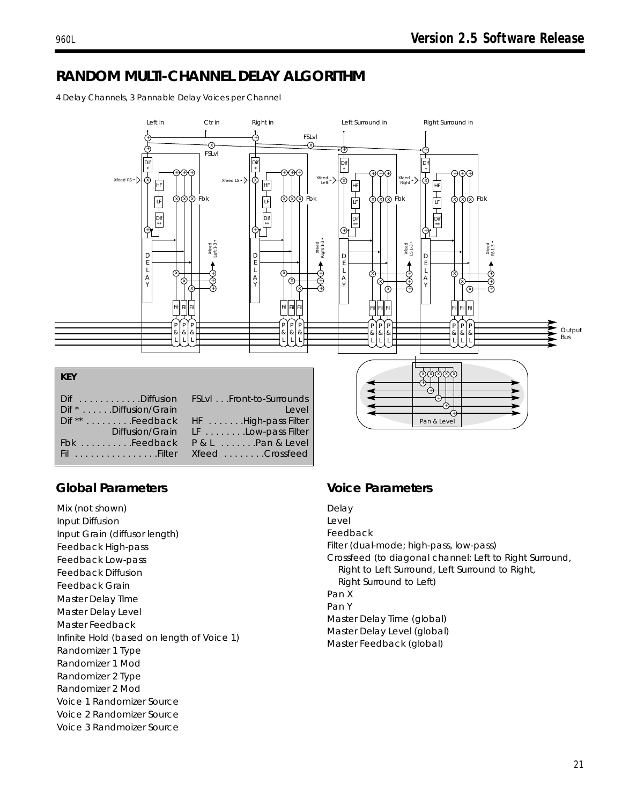# **RANDOM MULTI-CHANNEL DELAY ALGORITHM**

*4 Delay Channels, 3 Pannable Delay Voices per Channel*



# *Global Parameters*

*Mix (not shown) Input Diffusion Input Grain (diffusor length) Feedback High-pass Feedback Low-pass Feedback Diffusion Feedback Grain Master Delay TIme Master Delay Level Master Feedback Infinite Hold (based on length of Voice 1) Randomizer 1 Type Randomizer 1 Mod Randomizer 2 Type Randomizer 2 Mod Voice 1 Randomizer Source Voice 2 Randomizer Source Voice 3 Randmoizer Source*

# *Voice Parameters*

*Delay Level Feedback Filter (dual-mode; high-pass, low-pass) Crossfeed (to diagonal channel: Left to Right Surround, Right to Left Surround, Left Surround to Right, Right Surround to Left) Pan X Pan Y Master Delay Time (global) Master Delay Level (global) Master Feedback (global)*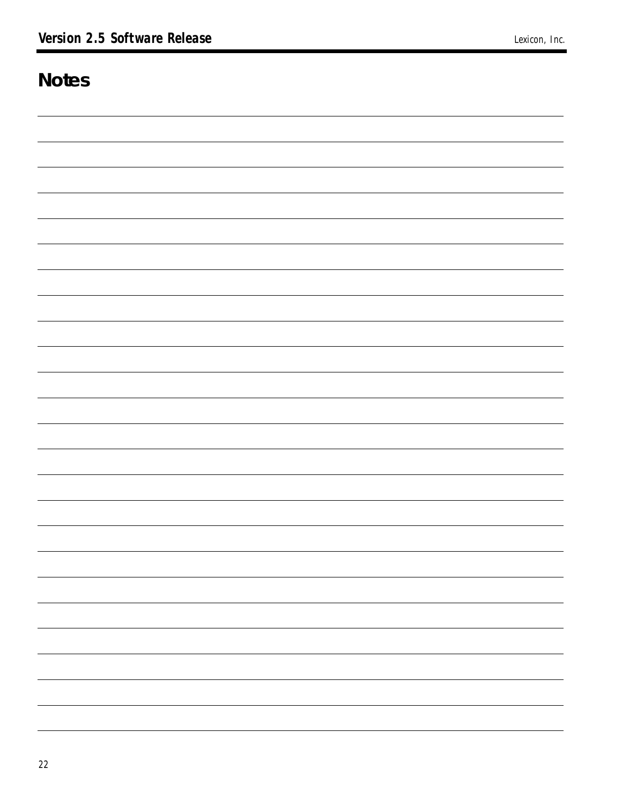# *Notes*

| - |
|---|
|   |
| — |
|   |
|   |
|   |
|   |